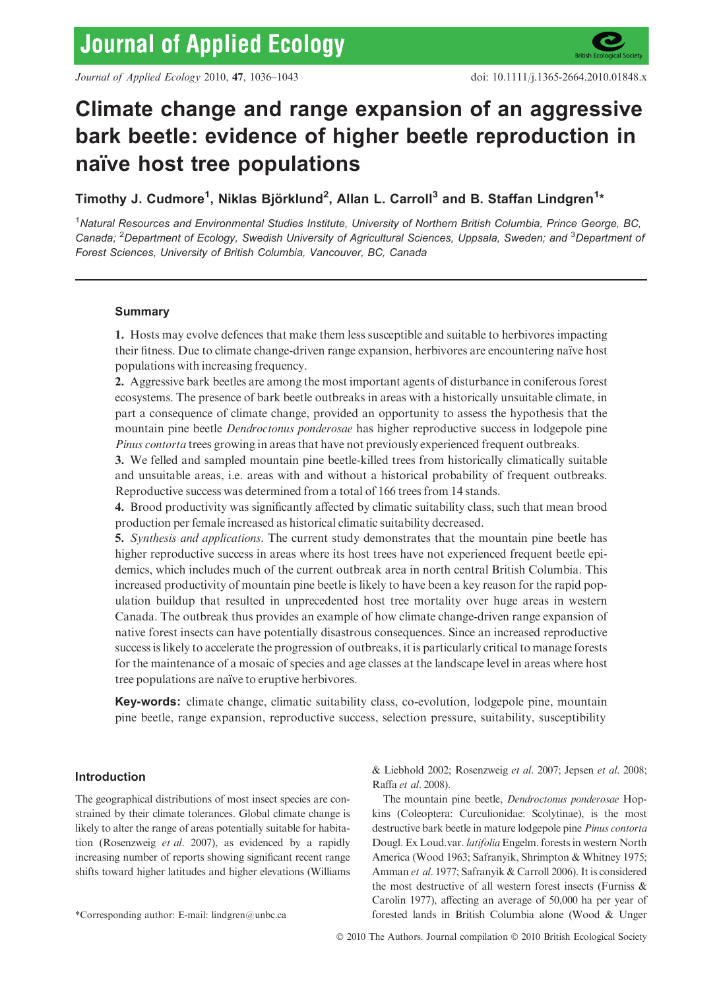# Climate change and range expansion of an aggressive bark beetle: evidence of higher beetle reproduction in naïve host tree populations

Timothy J. Cudmore<sup>1</sup>, Niklas Björklund<sup>2</sup>, Allan L. Carroll<sup>3</sup> and B. Staffan Lindgren<sup>1</sup>\*

<sup>1</sup>Natural Resources and Environmental Studies Institute, University of Northern British Columbia, Prince George, BC, Canada; <sup>2</sup>Department of Ecology, Swedish University of Agricultural Sciences, Uppsala, Sweden; and <sup>3</sup>Department oi Forest Sciences, University of British Columbia, Vancouver, BC, Canada

# Summary

1. Hosts may evolve defences that make them less susceptible and suitable to herbivores impacting their fitness. Due to climate change-driven range expansion, herbivores are encountering naïve host populations with increasing frequency.

2. Aggressive bark beetles are among the most important agents of disturbance in coniferous forest ecosystems. The presence of bark beetle outbreaks in areas with a historically unsuitable climate, in part a consequence of climate change, provided an opportunity to assess the hypothesis that the mountain pine beetle *Dendroctonus ponderosae* has higher reproductive success in lodgepole pine Pinus contorta trees growing in areas that have not previously experienced frequent outbreaks.

3. We felled and sampled mountain pine beetle-killed trees from historically climatically suitable and unsuitable areas, i.e. areas with and without a historical probability of frequent outbreaks. Reproductive success was determined from a total of 166 trees from 14 stands.

4. Brood productivity was significantly affected by climatic suitability class, such that mean brood production per female increased as historical climatic suitability decreased.

5. Synthesis and applications. The current study demonstrates that the mountain pine beetle has higher reproductive success in areas where its host trees have not experienced frequent beetle epidemics, which includes much of the current outbreak area in north central British Columbia. This increased productivity of mountain pine beetle is likely to have been a key reason for the rapid population buildup that resulted in unprecedented host tree mortality over huge areas in western Canada. The outbreak thus provides an example of how climate change-driven range expansion of native forest insects can have potentially disastrous consequences. Since an increased reproductive success is likely to accelerate the progression of outbreaks, it is particularly critical to manage forests for the maintenance of a mosaic of species and age classes at the landscape level in areas where host tree populations are naïve to eruptive herbivores.

Key-words: climate change, climatic suitability class, co-evolution, lodgepole pine, mountain pine beetle, range expansion, reproductive success, selection pressure, suitability, susceptibility

# Introduction

The geographical distributions of most insect species are constrained by their climate tolerances. Global climate change is likely to alter the range of areas potentially suitable for habitation (Rosenzweig et al. 2007), as evidenced by a rapidly increasing number of reports showing significant recent range shifts toward higher latitudes and higher elevations (Williams & Liebhold 2002; Rosenzweig et al. 2007; Jepsen et al. 2008; Raffa et al. 2008).

The mountain pine beetle, Dendroctonus ponderosae Hopkins (Coleoptera: Curculionidae: Scolytinae), is the most destructive bark beetle in mature lodgepole pine Pinus contorta Dougl. Ex Loud.var. latifolia Engelm. forests in western North America (Wood 1963; Safranyik, Shrimpton & Whitney 1975; Amman et al. 1977; Safranyik & Carroll 2006). It is considered the most destructive of all western forest insects (Furniss & Carolin 1977), affecting an average of 50,000 ha per year of \*Corresponding author: E-mail: lindgren@unbc.ca forested lands in British Columbia alone (Wood & Unger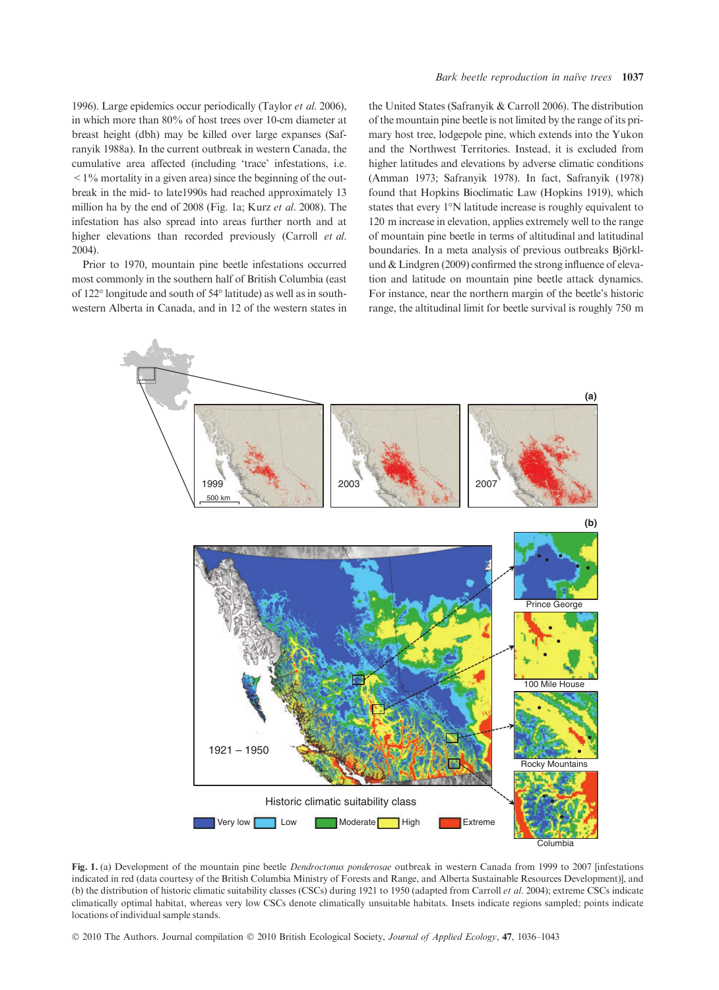1996). Large epidemics occur periodically (Taylor et al. 2006), in which more than 80% of host trees over 10-cm diameter at breast height (dbh) may be killed over large expanses (Safranyik 1988a). In the current outbreak in western Canada, the cumulative area affected (including 'trace' infestations, i.e.  $1\%$  mortality in a given area) since the beginning of the outbreak in the mid- to late1990s had reached approximately 13 million ha by the end of 2008 (Fig. 1a; Kurz et al. 2008). The infestation has also spread into areas further north and at higher elevations than recorded previously (Carroll et al. 2004).

Prior to 1970, mountain pine beetle infestations occurred most commonly in the southern half of British Columbia (east of  $122^{\circ}$  longitude and south of  $54^{\circ}$  latitude) as well as in southwestern Alberta in Canada, and in 12 of the western states in the United States (Safranyik & Carroll 2006). The distribution of the mountain pine beetle is not limited by the range of its primary host tree, lodgepole pine, which extends into the Yukon and the Northwest Territories. Instead, it is excluded from higher latitudes and elevations by adverse climatic conditions (Amman 1973; Safranyik 1978). In fact, Safranyik (1978) found that Hopkins Bioclimatic Law (Hopkins 1919), which states that every  $1^{\circ}$ N latitude increase is roughly equivalent to 120 m increase in elevation, applies extremely well to the range of mountain pine beetle in terms of altitudinal and latitudinal boundaries. In a meta analysis of previous outbreaks Björklund & Lindgren (2009) confirmed the strong influence of elevation and latitude on mountain pine beetle attack dynamics. For instance, near the northern margin of the beetle's historic range, the altitudinal limit for beetle survival is roughly 750 m



Fig. 1. (a) Development of the mountain pine beetle *Dendroctonus ponderosae* outbreak in western Canada from 1999 to 2007 [infestations indicated in red (data courtesy of the British Columbia Ministry of Forests and Range, and Alberta Sustainable Resources Development)], and (b) the distribution of historic climatic suitability classes (CSCs) during 1921 to 1950 (adapted from Carroll et al. 2004); extreme CSCs indicate climatically optimal habitat, whereas very low CSCs denote climatically unsuitable habitats. Insets indicate regions sampled; points indicate locations of individual sample stands.

© 2010 The Authors. Journal compilation © 2010 British Ecological Society, Journal of Applied Ecology, 47, 1036–1043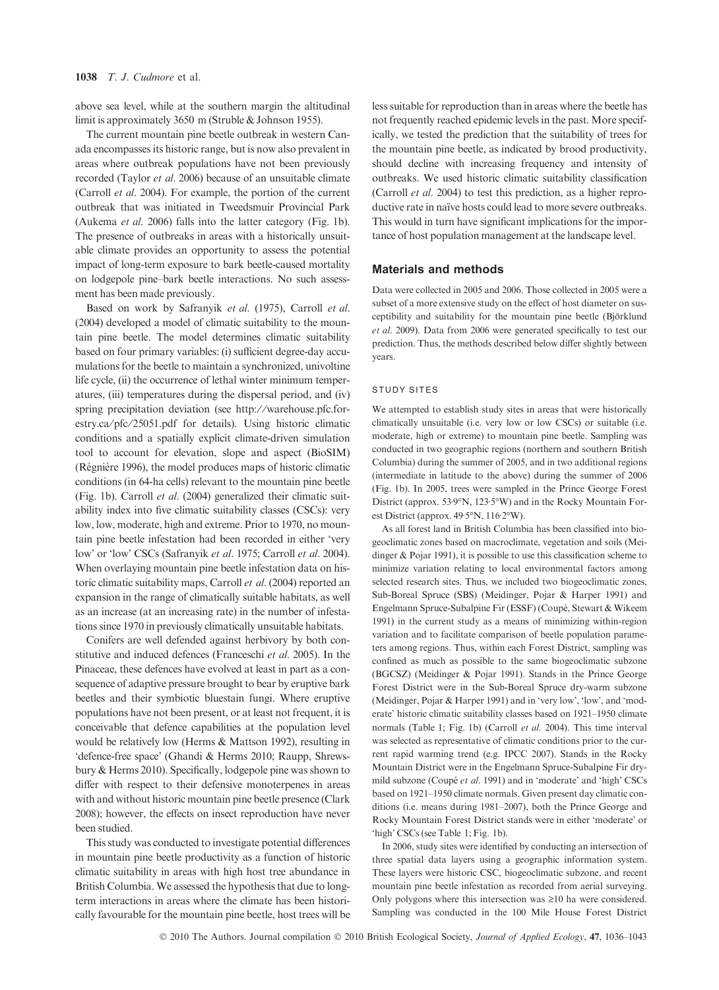above sea level, while at the southern margin the altitudinal limit is approximately 3650 m (Struble & Johnson 1955).

The current mountain pine beetle outbreak in western Canada encompasses its historic range, but is now also prevalent in areas where outbreak populations have not been previously recorded (Taylor et al. 2006) because of an unsuitable climate (Carroll et al. 2004). For example, the portion of the current outbreak that was initiated in Tweedsmuir Provincial Park (Aukema et al. 2006) falls into the latter category (Fig. 1b). The presence of outbreaks in areas with a historically unsuitable climate provides an opportunity to assess the potential impact of long-term exposure to bark beetle-caused mortality on lodgepole pine–bark beetle interactions. No such assessment has been made previously.

Based on work by Safranyik et al. (1975), Carroll et al. (2004) developed a model of climatic suitability to the mountain pine beetle. The model determines climatic suitability based on four primary variables: (i) sufficient degree-day accumulations for the beetle to maintain a synchronized, univoltine life cycle, (ii) the occurrence of lethal winter minimum temperatures, (iii) temperatures during the dispersal period, and (iv) spring precipitation deviation (see http://warehouse.pfc.forestry.ca/pfc/25051.pdf for details). Using historic climatic conditions and a spatially explicit climate-driven simulation tool to account for elevation, slope and aspect (BioSIM) (Régnière 1996), the model produces maps of historic climatic conditions (in 64-ha cells) relevant to the mountain pine beetle (Fig. 1b). Carroll et al. (2004) generalized their climatic suitability index into five climatic suitability classes (CSCs): very low, low, moderate, high and extreme. Prior to 1970, no mountain pine beetle infestation had been recorded in either 'very low' or 'low' CSCs (Safranyik et al. 1975; Carroll et al. 2004). When overlaying mountain pine beetle infestation data on historic climatic suitability maps, Carroll et al. (2004) reported an expansion in the range of climatically suitable habitats, as well as an increase (at an increasing rate) in the number of infestations since 1970 in previously climatically unsuitable habitats.

Conifers are well defended against herbivory by both constitutive and induced defences (Franceschi et al. 2005). In the Pinaceae, these defences have evolved at least in part as a consequence of adaptive pressure brought to bear by eruptive bark beetles and their symbiotic bluestain fungi. Where eruptive populations have not been present, or at least not frequent, it is conceivable that defence capabilities at the population level would be relatively low (Herms & Mattson 1992), resulting in 'defence-free space' (Ghandi & Herms 2010; Raupp, Shrewsbury & Herms 2010). Specifically, lodgepole pine was shown to differ with respect to their defensive monoterpenes in areas with and without historic mountain pine beetle presence (Clark 2008); however, the effects on insect reproduction have never been studied.

This study was conducted to investigate potential differences in mountain pine beetle productivity as a function of historic climatic suitability in areas with high host tree abundance in British Columbia. We assessed the hypothesis that due to longterm interactions in areas where the climate has been historically favourable for the mountain pine beetle, host trees will be less suitable for reproduction than in areas where the beetle has not frequently reached epidemic levels in the past. More specifically, we tested the prediction that the suitability of trees for the mountain pine beetle, as indicated by brood productivity, should decline with increasing frequency and intensity of outbreaks. We used historic climatic suitability classification (Carroll et al. 2004) to test this prediction, as a higher reproductive rate in naïve hosts could lead to more severe outbreaks. This would in turn have significant implications for the importance of host population management at the landscape level.

### Materials and methods

Data were collected in 2005 and 2006. Those collected in 2005 were a subset of a more extensive study on the effect of host diameter on susceptibility and suitability for the mountain pine beetle (Björklund et al. 2009). Data from 2006 were generated specifically to test our prediction. Thus, the methods described below differ slightly between years.

#### STUDY SITES

We attempted to establish study sites in areas that were historically climatically unsuitable (i.e. very low or low CSCs) or suitable (i.e. moderate, high or extreme) to mountain pine beetle. Sampling was conducted in two geographic regions (northern and southern British Columbia) during the summer of 2005, and in two additional regions (intermediate in latitude to the above) during the summer of 2006 (Fig. 1b). In 2005, trees were sampled in the Prince George Forest District (approx. 53.9°N, 123.5°W) and in the Rocky Mountain Forest District (approx.  $49.5^\circ N$ ,  $116.2^\circ W$ ).

As all forest land in British Columbia has been classified into biogeoclimatic zones based on macroclimate, vegetation and soils (Meidinger & Pojar 1991), it is possible to use this classification scheme to minimize variation relating to local environmental factors among selected research sites. Thus, we included two biogeoclimatic zones, Sub-Boreal Spruce (SBS) (Meidinger, Pojar & Harper 1991) and Engelmann Spruce-Subalpine Fir (ESSF) (Coupé, Stewart & Wikeem 1991) in the current study as a means of minimizing within-region variation and to facilitate comparison of beetle population parameters among regions. Thus, within each Forest District, sampling was confined as much as possible to the same biogeoclimatic subzone (BGCSZ) (Meidinger & Pojar 1991). Stands in the Prince George Forest District were in the Sub-Boreal Spruce dry-warm subzone (Meidinger, Pojar & Harper 1991) and in 'very low', 'low', and 'moderate' historic climatic suitability classes based on 1921–1950 climate normals (Table 1; Fig. 1b) (Carroll et al. 2004). This time interval was selected as representative of climatic conditions prior to the current rapid warming trend (e.g. IPCC 2007). Stands in the Rocky Mountain District were in the Engelmann Spruce-Subalpine Fir drymild subzone (Coupé et al. 1991) and in 'moderate' and 'high' CSCs based on 1921–1950 climate normals. Given present day climatic conditions (i.e. means during 1981–2007), both the Prince George and Rocky Mountain Forest District stands were in either 'moderate' or 'high' CSCs (see Table 1; Fig. 1b).

In 2006, study sites were identified by conducting an intersection of three spatial data layers using a geographic information system. These layers were historic CSC, biogeoclimatic subzone, and recent mountain pine beetle infestation as recorded from aerial surveying. Only polygons where this intersection was  $\geq 10$  ha were considered. Sampling was conducted in the 100 Mile House Forest District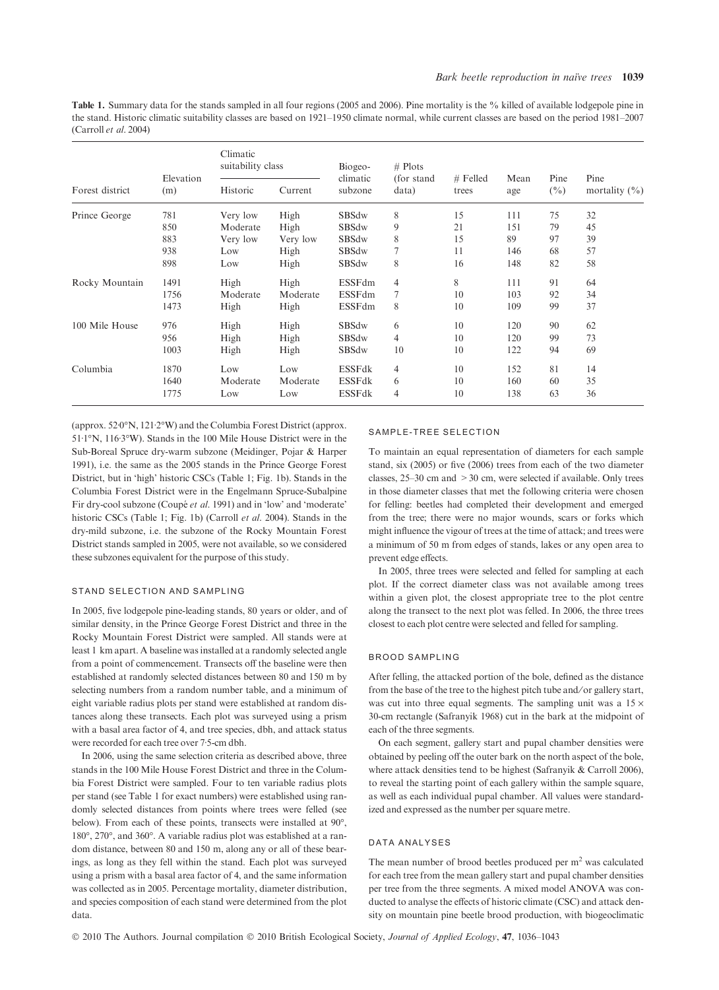Table 1. Summary data for the stands sampled in all four regions (2005 and 2006). Pine mortality is the % killed of available lodgepole pine in the stand. Historic climatic suitability classes are based on 1921–1950 climate normal, while current classes are based on the period 1981–2007 (Carroll et al. 2004)

| Forest district | Elevation<br>(m) | Climatic<br>suitability class |          | Biogeo-             | $#$ Plots            |                     |             |                         |                           |
|-----------------|------------------|-------------------------------|----------|---------------------|----------------------|---------------------|-------------|-------------------------|---------------------------|
|                 |                  | Historic                      | Current  | climatic<br>subzone | (for stand)<br>data) | $#$ Felled<br>trees | Mean<br>age | Pine<br>$(\frac{0}{0})$ | Pine<br>mortality $(\% )$ |
| Prince George   | 781              | Very low                      | High     | SBSdw               | 8                    | 15                  | 111         | 75                      | 32                        |
|                 | 850              | Moderate                      | High     | SBSdw               | 9                    | 21                  | 151         | 79                      | 45                        |
|                 | 883              | Very low                      | Very low | SBSdw               | 8                    | 15                  | 89          | 97                      | 39                        |
|                 | 938              | Low                           | High     | SBSdw               | 7                    | 11                  | 146         | 68                      | 57                        |
|                 | 898              | Low                           | High     | SBSdw               | 8                    | 16                  | 148         | 82                      | 58                        |
| Rocky Mountain  | 1491             | High                          | High     | ESSFdm              | $\overline{4}$       | 8                   | 111         | 91                      | 64                        |
|                 | 1756             | Moderate                      | Moderate | ESSFdm              | 7                    | 10                  | 103         | 92                      | 34                        |
|                 | 1473             | High                          | High     | ESSFdm              | 8                    | 10                  | 109         | 99                      | 37                        |
| 100 Mile House  | 976              | High                          | High     | SBSdw               | 6                    | 10                  | 120         | 90                      | 62                        |
|                 | 956              | High                          | High     | <b>SBSdw</b>        | 4                    | 10                  | 120         | 99                      | 73                        |
|                 | 1003             | High                          | High     | <b>SBSdw</b>        | 10                   | 10                  | 122         | 94                      | 69                        |
| Columbia        | 1870             | Low                           | Low      | <b>ESSFdk</b>       | $\overline{4}$       | 10                  | 152         | 81                      | 14                        |
|                 | 1640             | Moderate                      | Moderate | ESSFdk              | 6                    | 10                  | 160         | 60                      | 35                        |
|                 | 1775             | Low                           | Low      | ESSFdk              | $\overline{4}$       | 10                  | 138         | 63                      | 36                        |

(approx.  $52.0^\circ N$ ,  $121.2^\circ W$ ) and the Columbia Forest District (approx. 51·1°N, 116·3°W). Stands in the 100 Mile House District were in the Sub-Boreal Spruce dry-warm subzone (Meidinger, Pojar & Harper 1991), i.e. the same as the 2005 stands in the Prince George Forest District, but in 'high' historic CSCs (Table 1; Fig. 1b). Stands in the Columbia Forest District were in the Engelmann Spruce-Subalpine Fir dry-cool subzone (Coupé et al. 1991) and in 'low' and 'moderate' historic CSCs (Table 1; Fig. 1b) (Carroll et al. 2004). Stands in the dry-mild subzone, i.e. the subzone of the Rocky Mountain Forest District stands sampled in 2005, were not available, so we considered these subzones equivalent for the purpose of this study.

## STAND SELECTION AND SAMPLING

In 2005, five lodgepole pine-leading stands, 80 years or older, and of similar density, in the Prince George Forest District and three in the Rocky Mountain Forest District were sampled. All stands were at least 1 km apart. A baseline was installed at a randomly selected angle from a point of commencement. Transects off the baseline were then established at randomly selected distances between 80 and 150 m by selecting numbers from a random number table, and a minimum of eight variable radius plots per stand were established at random distances along these transects. Each plot was surveyed using a prism with a basal area factor of 4, and tree species, dbh, and attack status were recorded for each tree over 7.5-cm dbh.

In 2006, using the same selection criteria as described above, three stands in the 100 Mile House Forest District and three in the Columbia Forest District were sampled. Four to ten variable radius plots per stand (see Table 1 for exact numbers) were established using randomly selected distances from points where trees were felled (see below). From each of these points, transects were installed at  $90^\circ$ ,  $180^\circ$ ,  $270^\circ$ , and  $360^\circ$ . A variable radius plot was established at a random distance, between 80 and 150 m, along any or all of these bearings, as long as they fell within the stand. Each plot was surveyed using a prism with a basal area factor of 4, and the same information was collected as in 2005. Percentage mortality, diameter distribution, and species composition of each stand were determined from the plot data.

### SAMPLE-TREE SELECTION

To maintain an equal representation of diameters for each sample stand, six (2005) or five (2006) trees from each of the two diameter classes, 25–30 cm and >30 cm, were selected if available. Only trees in those diameter classes that met the following criteria were chosen for felling: beetles had completed their development and emerged from the tree; there were no major wounds, scars or forks which might influence the vigour of trees at the time of attack; and trees were a minimum of 50 m from edges of stands, lakes or any open area to prevent edge effects.

In 2005, three trees were selected and felled for sampling at each plot. If the correct diameter class was not available among trees within a given plot, the closest appropriate tree to the plot centre along the transect to the next plot was felled. In 2006, the three trees closest to each plot centre were selected and felled for sampling.

#### BROOD SAMPLING

After felling, the attacked portion of the bole, defined as the distance from the base of the tree to the highest pitch tube and ⁄ or gallery start, was cut into three equal segments. The sampling unit was a  $15 \times$ 30-cm rectangle (Safranyik 1968) cut in the bark at the midpoint of each of the three segments.

On each segment, gallery start and pupal chamber densities were obtained by peeling off the outer bark on the north aspect of the bole, where attack densities tend to be highest (Safranyik & Carroll 2006), to reveal the starting point of each gallery within the sample square, as well as each individual pupal chamber. All values were standardized and expressed as the number per square metre.

### DATA ANALYSES

The mean number of brood beetles produced per  $m<sup>2</sup>$  was calculated for each tree from the mean gallery start and pupal chamber densities per tree from the three segments. A mixed model ANOVA was conducted to analyse the effects of historic climate (CSC) and attack density on mountain pine beetle brood production, with biogeoclimatic

© 2010 The Authors. Journal compilation © 2010 British Ecological Society, Journal of Applied Ecology, 47, 1036–1043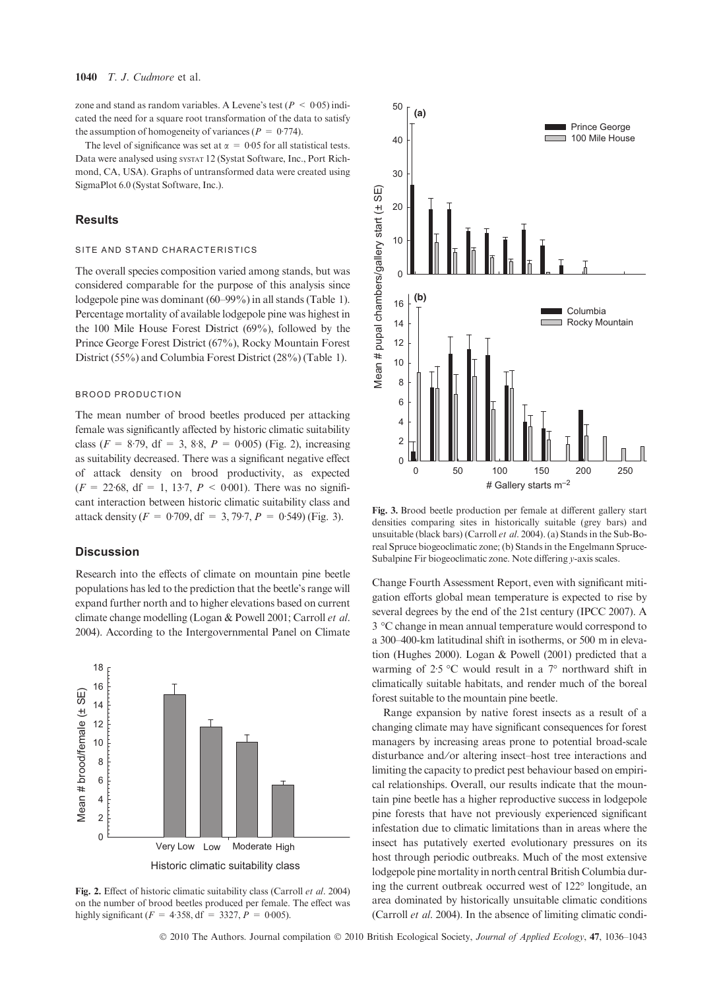zone and stand as random variables. A Levene's test ( $P < 0.05$ ) indicated the need for a square root transformation of the data to satisfy the assumption of homogeneity of variances ( $P = 0.774$ ).

The level of significance was set at  $\alpha = 0.05$  for all statistical tests. Data were analysed using systat 12 (Systat Software, Inc., Port Richmond, CA, USA). Graphs of untransformed data were created using SigmaPlot 6.0 (Systat Software, Inc.).

# Results

#### SITE AND STAND CHARACTERISTICS

The overall species composition varied among stands, but was considered comparable for the purpose of this analysis since lodgepole pine was dominant (60–99%) in all stands (Table 1). Percentage mortality of available lodgepole pine was highest in the 100 Mile House Forest District (69%), followed by the Prince George Forest District (67%), Rocky Mountain Forest District (55%) and Columbia Forest District (28%) (Table 1).

## BROOD PRODUCTION

The mean number of brood beetles produced per attacking female was significantly affected by historic climatic suitability class ( $F = 8.79$ , df = 3, 8.8,  $P = 0.005$ ) (Fig. 2), increasing as suitability decreased. There was a significant negative effect of attack density on brood productivity, as expected  $(F = 22.68, df = 1, 13.7, P < 0.001$ . There was no significant interaction between historic climatic suitability class and attack density ( $F = 0.709$ , df = 3, 79.7,  $P = 0.549$ ) (Fig. 3).

## **Discussion**

Research into the effects of climate on mountain pine beetle populations has led to the prediction that the beetle's range will expand further north and to higher elevations based on current climate change modelling (Logan & Powell 2001; Carroll et al. 2004). According to the Intergovernmental Panel on Climate







Fig. 3. Brood beetle production per female at different gallery start densities comparing sites in historically suitable (grey bars) and unsuitable (black bars) (Carroll et al. 2004). (a) Stands in the Sub-Boreal Spruce biogeoclimatic zone; (b) Stands in the Engelmann Spruce-Subalpine Fir biogeoclimatic zone. Note differing y-axis scales.

Change Fourth Assessment Report, even with significant mitigation efforts global mean temperature is expected to rise by several degrees by the end of the 21st century (IPCC 2007). A 3 C change in mean annual temperature would correspond to a 300–400-km latitudinal shift in isotherms, or 500 m in elevation (Hughes 2000). Logan & Powell (2001) predicted that a warming of  $2.5 \text{ °C}$  would result in a  $7^{\circ}$  northward shift in climatically suitable habitats, and render much of the boreal forest suitable to the mountain pine beetle.

Range expansion by native forest insects as a result of a changing climate may have significant consequences for forest managers by increasing areas prone to potential broad-scale disturbance and ⁄or altering insect–host tree interactions and limiting the capacity to predict pest behaviour based on empirical relationships. Overall, our results indicate that the mountain pine beetle has a higher reproductive success in lodgepole pine forests that have not previously experienced significant infestation due to climatic limitations than in areas where the insect has putatively exerted evolutionary pressures on its host through periodic outbreaks. Much of the most extensive lodgepole pine mortality in north central British Columbia during the current outbreak occurred west of 122° longitude, an area dominated by historically unsuitable climatic conditions (Carroll et al. 2004). In the absence of limiting climatic condi-

© 2010 The Authors. Journal compilation © 2010 British Ecological Society, Journal of Applied Ecology, 47, 1036–1043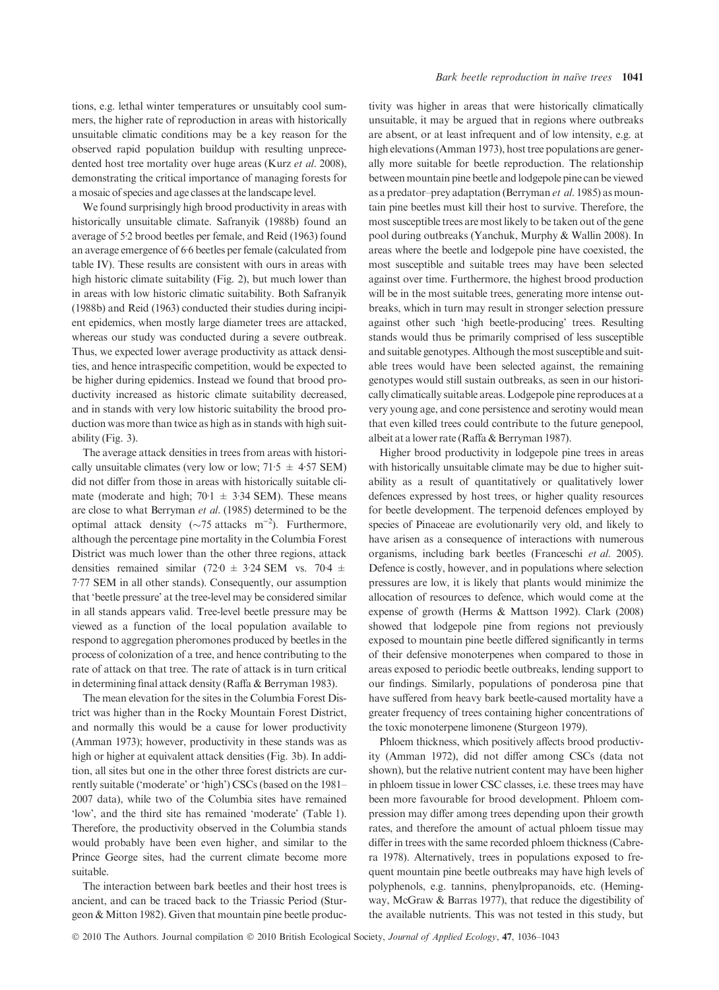tions, e.g. lethal winter temperatures or unsuitably cool summers, the higher rate of reproduction in areas with historically unsuitable climatic conditions may be a key reason for the observed rapid population buildup with resulting unprecedented host tree mortality over huge areas (Kurz et al. 2008), demonstrating the critical importance of managing forests for a mosaic of species and age classes at the landscape level.

We found surprisingly high brood productivity in areas with historically unsuitable climate. Safranyik (1988b) found an average of 5.2 brood beetles per female, and Reid (1963) found an average emergence of 6.6 beetles per female (calculated from table IV). These results are consistent with ours in areas with high historic climate suitability (Fig. 2), but much lower than in areas with low historic climatic suitability. Both Safranyik (1988b) and Reid (1963) conducted their studies during incipient epidemics, when mostly large diameter trees are attacked, whereas our study was conducted during a severe outbreak. Thus, we expected lower average productivity as attack densities, and hence intraspecific competition, would be expected to be higher during epidemics. Instead we found that brood productivity increased as historic climate suitability decreased, and in stands with very low historic suitability the brood production was more than twice as high as in stands with high suitability (Fig. 3).

The average attack densities in trees from areas with historically unsuitable climates (very low or low;  $71.5 \pm 4.57$  SEM) did not differ from those in areas with historically suitable climate (moderate and high;  $70.1 \pm 3.34$  SEM). These means are close to what Berryman et al. (1985) determined to be the optimal attack density ( $\sim$ 75 attacks m<sup>-2</sup>). Furthermore, although the percentage pine mortality in the Columbia Forest District was much lower than the other three regions, attack densities remained similar (72 $0 \pm 3.24$  SEM vs. 70 $4 \pm$ 7.77 SEM in all other stands). Consequently, our assumption that 'beetle pressure' at the tree-level may be considered similar in all stands appears valid. Tree-level beetle pressure may be viewed as a function of the local population available to respond to aggregation pheromones produced by beetles in the process of colonization of a tree, and hence contributing to the rate of attack on that tree. The rate of attack is in turn critical in determining final attack density (Raffa & Berryman 1983).

The mean elevation for the sites in the Columbia Forest District was higher than in the Rocky Mountain Forest District, and normally this would be a cause for lower productivity (Amman 1973); however, productivity in these stands was as high or higher at equivalent attack densities (Fig. 3b). In addition, all sites but one in the other three forest districts are currently suitable ('moderate' or 'high') CSCs (based on the 1981– 2007 data), while two of the Columbia sites have remained 'low', and the third site has remained 'moderate' (Table 1). Therefore, the productivity observed in the Columbia stands would probably have been even higher, and similar to the Prince George sites, had the current climate become more suitable.

The interaction between bark beetles and their host trees is ancient, and can be traced back to the Triassic Period (Sturgeon & Mitton 1982). Given that mountain pine beetle productivity was higher in areas that were historically climatically unsuitable, it may be argued that in regions where outbreaks are absent, or at least infrequent and of low intensity, e.g. at high elevations (Amman 1973), host tree populations are generally more suitable for beetle reproduction. The relationship between mountain pine beetle and lodgepole pine can be viewed as a predator–prey adaptation (Berryman et al. 1985) as mountain pine beetles must kill their host to survive. Therefore, the most susceptible trees are most likely to be taken out of the gene pool during outbreaks (Yanchuk, Murphy & Wallin 2008). In areas where the beetle and lodgepole pine have coexisted, the most susceptible and suitable trees may have been selected against over time. Furthermore, the highest brood production will be in the most suitable trees, generating more intense outbreaks, which in turn may result in stronger selection pressure against other such 'high beetle-producing' trees. Resulting stands would thus be primarily comprised of less susceptible and suitable genotypes. Although the most susceptible and suitable trees would have been selected against, the remaining genotypes would still sustain outbreaks, as seen in our historically climatically suitable areas. Lodgepole pine reproduces at a very young age, and cone persistence and serotiny would mean that even killed trees could contribute to the future genepool, albeit at a lower rate (Raffa & Berryman 1987).

Higher brood productivity in lodgepole pine trees in areas with historically unsuitable climate may be due to higher suitability as a result of quantitatively or qualitatively lower defences expressed by host trees, or higher quality resources for beetle development. The terpenoid defences employed by species of Pinaceae are evolutionarily very old, and likely to have arisen as a consequence of interactions with numerous organisms, including bark beetles (Franceschi et al. 2005). Defence is costly, however, and in populations where selection pressures are low, it is likely that plants would minimize the allocation of resources to defence, which would come at the expense of growth (Herms & Mattson 1992). Clark (2008) showed that lodgepole pine from regions not previously exposed to mountain pine beetle differed significantly in terms of their defensive monoterpenes when compared to those in areas exposed to periodic beetle outbreaks, lending support to our findings. Similarly, populations of ponderosa pine that have suffered from heavy bark beetle-caused mortality have a greater frequency of trees containing higher concentrations of the toxic monoterpene limonene (Sturgeon 1979).

Phloem thickness, which positively affects brood productivity (Amman 1972), did not differ among CSCs (data not shown), but the relative nutrient content may have been higher in phloem tissue in lower CSC classes, i.e. these trees may have been more favourable for brood development. Phloem compression may differ among trees depending upon their growth rates, and therefore the amount of actual phloem tissue may differ in trees with the same recorded phloem thickness (Cabrera 1978). Alternatively, trees in populations exposed to frequent mountain pine beetle outbreaks may have high levels of polyphenols, e.g. tannins, phenylpropanoids, etc. (Hemingway, McGraw & Barras 1977), that reduce the digestibility of the available nutrients. This was not tested in this study, but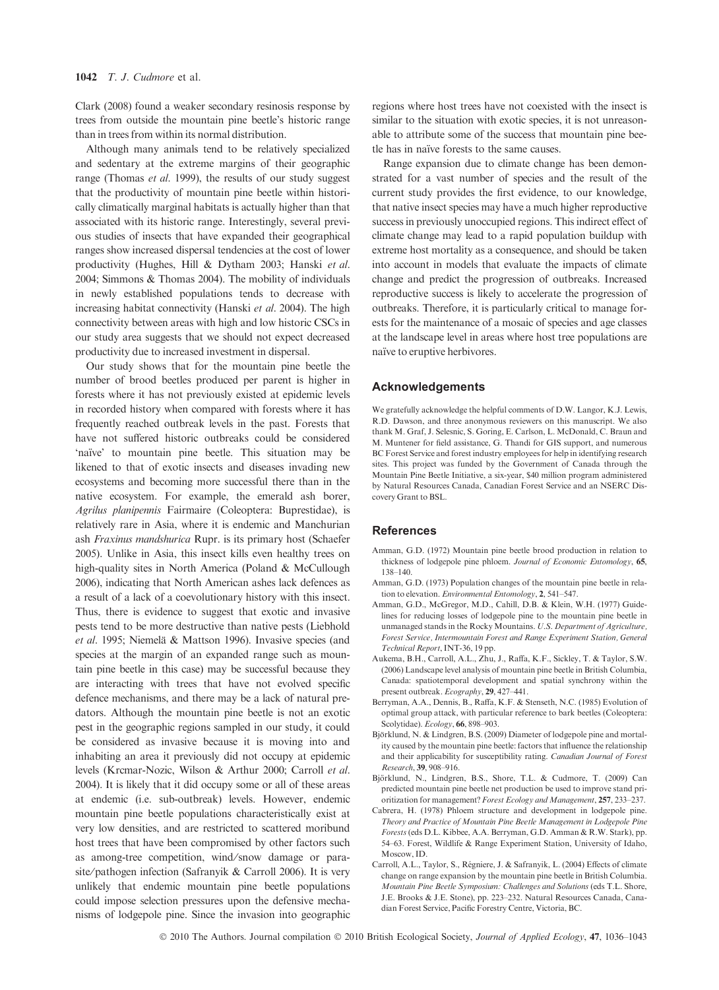Clark (2008) found a weaker secondary resinosis response by trees from outside the mountain pine beetle's historic range than in trees from within its normal distribution.

Although many animals tend to be relatively specialized and sedentary at the extreme margins of their geographic range (Thomas et al. 1999), the results of our study suggest that the productivity of mountain pine beetle within historically climatically marginal habitats is actually higher than that associated with its historic range. Interestingly, several previous studies of insects that have expanded their geographical ranges show increased dispersal tendencies at the cost of lower productivity (Hughes, Hill & Dytham 2003; Hanski et al. 2004; Simmons & Thomas 2004). The mobility of individuals in newly established populations tends to decrease with increasing habitat connectivity (Hanski et al. 2004). The high connectivity between areas with high and low historic CSCs in our study area suggests that we should not expect decreased productivity due to increased investment in dispersal.

Our study shows that for the mountain pine beetle the number of brood beetles produced per parent is higher in forests where it has not previously existed at epidemic levels in recorded history when compared with forests where it has frequently reached outbreak levels in the past. Forests that have not suffered historic outbreaks could be considered 'naïve' to mountain pine beetle. This situation may be likened to that of exotic insects and diseases invading new ecosystems and becoming more successful there than in the native ecosystem. For example, the emerald ash borer, Agrilus planipennis Fairmaire (Coleoptera: Buprestidae), is relatively rare in Asia, where it is endemic and Manchurian ash Fraxinus mandshurica Rupr. is its primary host (Schaefer 2005). Unlike in Asia, this insect kills even healthy trees on high-quality sites in North America (Poland & McCullough 2006), indicating that North American ashes lack defences as a result of a lack of a coevolutionary history with this insect. Thus, there is evidence to suggest that exotic and invasive pests tend to be more destructive than native pests (Liebhold et al. 1995; Niemelä & Mattson 1996). Invasive species (and species at the margin of an expanded range such as mountain pine beetle in this case) may be successful because they are interacting with trees that have not evolved specific defence mechanisms, and there may be a lack of natural predators. Although the mountain pine beetle is not an exotic pest in the geographic regions sampled in our study, it could be considered as invasive because it is moving into and inhabiting an area it previously did not occupy at epidemic levels (Krcmar-Nozic, Wilson & Arthur 2000; Carroll et al. 2004). It is likely that it did occupy some or all of these areas at endemic (i.e. sub-outbreak) levels. However, endemic mountain pine beetle populations characteristically exist at very low densities, and are restricted to scattered moribund host trees that have been compromised by other factors such as among-tree competition, wind/snow damage or parasite/pathogen infection (Safranyik & Carroll 2006). It is very unlikely that endemic mountain pine beetle populations could impose selection pressures upon the defensive mechanisms of lodgepole pine. Since the invasion into geographic regions where host trees have not coexisted with the insect is similar to the situation with exotic species, it is not unreasonable to attribute some of the success that mountain pine beetle has in naïve forests to the same causes.

Range expansion due to climate change has been demonstrated for a vast number of species and the result of the current study provides the first evidence, to our knowledge, that native insect species may have a much higher reproductive success in previously unoccupied regions. This indirect effect of climate change may lead to a rapid population buildup with extreme host mortality as a consequence, and should be taken into account in models that evaluate the impacts of climate change and predict the progression of outbreaks. Increased reproductive success is likely to accelerate the progression of outbreaks. Therefore, it is particularly critical to manage forests for the maintenance of a mosaic of species and age classes at the landscape level in areas where host tree populations are naïve to eruptive herbivores.

## Acknowledgements

We gratefully acknowledge the helpful comments of D.W. Langor, K.J. Lewis, R.D. Dawson, and three anonymous reviewers on this manuscript. We also thank M. Graf, J. Selesnic, S. Goring, E. Carlson, L. McDonald, C. Braun and M. Muntener for field assistance, G. Thandi for GIS support, and numerous BC Forest Service and forest industry employees for help in identifying research sites. This project was funded by the Government of Canada through the Mountain Pine Beetle Initiative, a six-year, \$40 million program administered by Natural Resources Canada, Canadian Forest Service and an NSERC Discovery Grant to BSL.

#### References

- Amman, G.D. (1972) Mountain pine beetle brood production in relation to thickness of lodgepole pine phloem. Journal of Economic Entomology, 65, 138–140.
- Amman, G.D. (1973) Population changes of the mountain pine beetle in relation to elevation. Environmental Entomology, 2, 541–547.
- Amman, G.D., McGregor, M.D., Cahill, D.B. & Klein, W.H. (1977) Guidelines for reducing losses of lodgepole pine to the mountain pine beetle in unmanaged stands in the Rocky Mountains. U.S. Department of Agriculture, Forest Service, Intermountain Forest and Range Experiment Station, General Technical Report, INT-36, 19 pp.
- Aukema, B.H., Carroll, A.L., Zhu, J., Raffa, K.F., Sickley, T. & Taylor, S.W. (2006) Landscape level analysis of mountain pine beetle in British Columbia, Canada: spatiotemporal development and spatial synchrony within the present outbreak. Ecography, 29, 427–441.
- Berryman, A.A., Dennis, B., Raffa, K.F. & Stenseth, N.C. (1985) Evolution of optimal group attack, with particular reference to bark beetles (Coleoptera: Scolytidae). Ecology, 66, 898–903.
- Björklund, N. & Lindgren, B.S. (2009) Diameter of lodgepole pine and mortality caused by the mountain pine beetle: factors that influence the relationship and their applicability for susceptibility rating. Canadian Journal of Forest Research, 39, 908–916.
- Björklund, N., Lindgren, B.S., Shore, T.L. & Cudmore, T. (2009) Can predicted mountain pine beetle net production be used to improve stand prioritization for management? Forest Ecology and Management, 257, 233–237.
- Cabrera, H. (1978) Phloem structure and development in lodgepole pine. Theory and Practice of Mountain Pine Beetle Management in Lodgepole Pine Forests (eds D.L. Kibbee, A.A. Berryman, G.D. Amman & R.W. Stark), pp. 54–63. Forest, Wildlife & Range Experiment Station, University of Idaho, Moscow, ID.
- Carroll, A.L., Taylor, S., Régniere, J. & Safranyik, L. (2004) Effects of climate change on range expansion by the mountain pine beetle in British Columbia. Mountain Pine Beetle Symposium: Challenges and Solutions (eds T.L. Shore, J.E. Brooks & J.E. Stone), pp. 223–232. Natural Resources Canada, Canadian Forest Service, Pacific Forestry Centre, Victoria, BC.